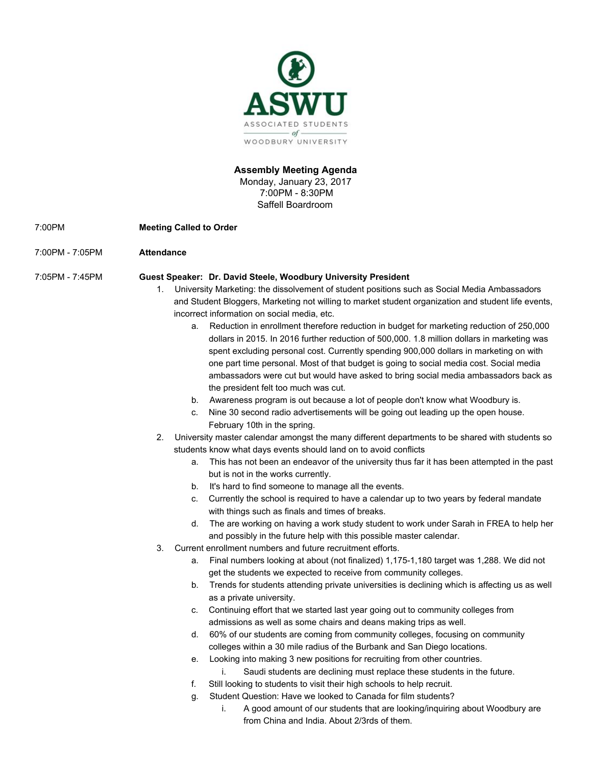

## **Assembly Meeting Agenda**

Monday, January 23, 2017 7:00PM - 8:30PM Saffell Boardroom

- 7:00PM **Meeting Called to Order**
- 7:00PM 7:05PM **Attendance**

### 7:05PM - 7:45PM **Guest Speaker: Dr. David Steele, Woodbury University President**

- 1. University Marketing: the dissolvement of student positions such as Social Media Ambassadors and Student Bloggers, Marketing not willing to market student organization and student life events, incorrect information on social media, etc.
	- a. Reduction in enrollment therefore reduction in budget for marketing reduction of 250,000 dollars in 2015. In 2016 further reduction of 500,000. 1.8 million dollars in marketing was spent excluding personal cost. Currently spending 900,000 dollars in marketing on with one part time personal. Most of that budget is going to social media cost. Social media ambassadors were cut but would have asked to bring social media ambassadors back as the president felt too much was cut.
	- b. Awareness program is out because a lot of people don't know what Woodbury is.
	- c. Nine 30 second radio advertisements will be going out leading up the open house. February 10th in the spring.
- 2. University master calendar amongst the many different departments to be shared with students so students know what days events should land on to avoid conflicts
	- a. This has not been an endeavor of the university thus far it has been attempted in the past but is not in the works currently.
	- b. It's hard to find someone to manage all the events.
	- c. Currently the school is required to have a calendar up to two years by federal mandate with things such as finals and times of breaks.
	- d. The are working on having a work study student to work under Sarah in FREA to help her and possibly in the future help with this possible master calendar.
- 3. Current enrollment numbers and future recruitment efforts.
	- a. Final numbers looking at about (not finalized) 1,175-1,180 target was 1,288. We did not get the students we expected to receive from community colleges.
	- b. Trends for students attending private universities is declining which is affecting us as well as a private university.
	- c. Continuing effort that we started last year going out to community colleges from admissions as well as some chairs and deans making trips as well.
	- d. 60% of our students are coming from community colleges, focusing on community colleges within a 30 mile radius of the Burbank and San Diego locations.
	- e. Looking into making 3 new positions for recruiting from other countries.
		- i. Saudi students are declining must replace these students in the future.
	- f. Still looking to students to visit their high schools to help recruit.
	- g. Student Question: Have we looked to Canada for film students?
		- i. A good amount of our students that are looking/inquiring about Woodbury are from China and India. About 2/3rds of them.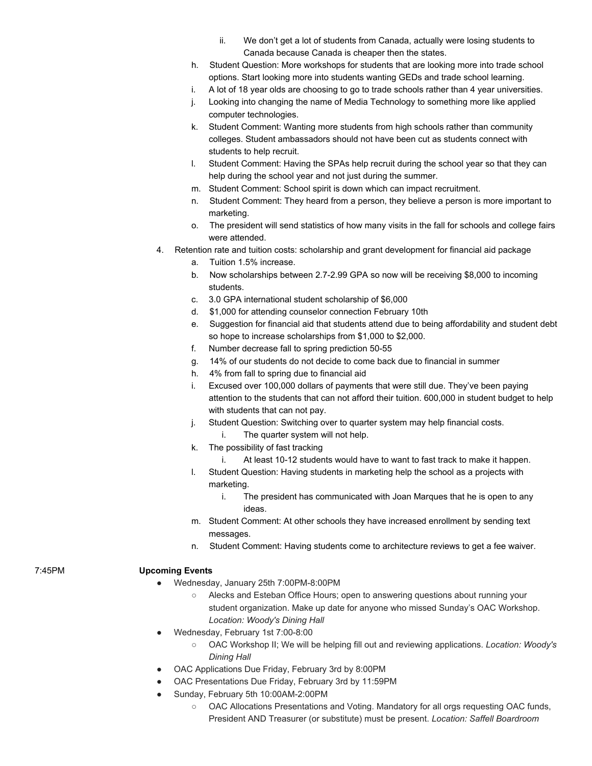- ii. We don't get a lot of students from Canada, actually were losing students to Canada because Canada is cheaper then the states.
- h. Student Question: More workshops for students that are looking more into trade school options. Start looking more into students wanting GEDs and trade school learning.
- i. A lot of 18 year olds are choosing to go to trade schools rather than 4 year universities.
- j. Looking into changing the name of Media Technology to something more like applied computer technologies.
- k. Student Comment: Wanting more students from high schools rather than community colleges. Student ambassadors should not have been cut as students connect with students to help recruit.
- l. Student Comment: Having the SPAs help recruit during the school year so that they can help during the school year and not just during the summer.
- m. Student Comment: School spirit is down which can impact recruitment.
- n. Student Comment: They heard from a person, they believe a person is more important to marketing.
- o. The president will send statistics of how many visits in the fall for schools and college fairs were attended.
- Retention rate and tuition costs: scholarship and grant development for financial aid package
	- a. Tuition 1.5% increase.
	- b. Now scholarships between 2.7-2.99 GPA so now will be receiving \$8,000 to incoming students.
	- c. 3.0 GPA international student scholarship of \$6,000
	- d. \$1,000 for attending counselor connection February 10th
	- e. Suggestion for financial aid that students attend due to being affordability and student debt so hope to increase scholarships from \$1,000 to \$2,000.
	- f. Number decrease fall to spring prediction 50-55
	- g. 14% of our students do not decide to come back due to financial in summer
	- h. 4% from fall to spring due to financial aid
	- i. Excused over 100,000 dollars of payments that were still due. They've been paying attention to the students that can not afford their tuition. 600,000 in student budget to help with students that can not pay.
	- j. Student Question: Switching over to quarter system may help financial costs.
		- i. The quarter system will not help.
	- k. The possibility of fast tracking
		- i. At least 10-12 students would have to want to fast track to make it happen.
	- l. Student Question: Having students in marketing help the school as a projects with marketing.
		- i. The president has communicated with Joan Marques that he is open to any ideas.
	- m. Student Comment: At other schools they have increased enrollment by sending text messages.
	- n. Student Comment: Having students come to architecture reviews to get a fee waiver.

## 7:45PM **Upcoming Events**

- Wednesday, January 25th 7:00PM-8:00PM
	- Alecks and Esteban Office Hours; open to answering questions about running your student organization. Make up date for anyone who missed Sunday's OAC Workshop. *Location: Woody's Dining Hall*
- Wednesday, February 1st 7:00-8:00
	- OAC Workshop II; We will be helping fill out and reviewing applications. *Location: Woody's Dining Hall*
	- OAC Applications Due Friday, February 3rd by 8:00PM
- OAC Presentations Due Friday, February 3rd by 11:59PM
- Sunday, February 5th 10:00AM-2:00PM
	- OAC Allocations Presentations and Voting. Mandatory for all orgs requesting OAC funds, President AND Treasurer (or substitute) must be present. *Location: Saffell Boardroom*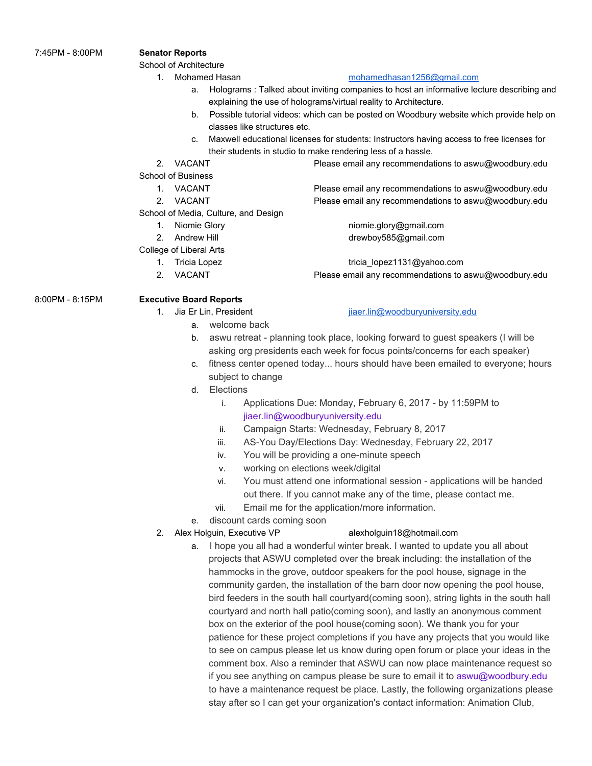## 7:45PM - 8:00PM **Senator Reports**

School of Architecture

1. Mohamed Hasan [mohamedhasan1256@gmail.com](mailto:mohamedhasan1256@gmail.com)

# a. Holograms : Talked about inviting companies to host an informative lecture describing and

- explaining the use of holograms/virtual reality to Architecture. b. Possible tutorial videos: which can be posted on Woodbury website which provide help on
- classes like structures etc.
- c. Maxwell educational licenses for students: Instructors having access to free licenses for their students in studio to make rendering less of a hassle.
- 

School of Business

- 
- 

School of Media, Culture, and Design

- 
- 

College of Liberal Arts

- 
- 

2. VACANT Please email any recommendations to aswu@woodbury.edu

1. VACANT Please email any recommendations to aswu@woodbury.edu 2. VACANT Please email any recommendations to aswu@woodbury.edu

1. Niomie Glory niomie.glory@gmail.com 2. Andrew Hill drewboy585@gmail.com

1. Tricia Lopez tricia lopez1131@yahoo.com 2. VACANT Please email any recommendations to aswu@woodbury.edu

# 8:00PM - 8:15PM **Executive Board Reports**

- 1. Jia Er Lin, President in the state is a state in the [jiaer.lin@woodburyuniversity.edu](mailto:jiaer.lin@woodburyuniversity.edu)
	- a. welcome back
	- b. aswu retreat planning took place, looking forward to guest speakers (I will be asking org presidents each week for focus points/concerns for each speaker)
	- c. fitness center opened today... hours should have been emailed to everyone; hours subject to change
	- d. Elections
		- i. Applications Due: Monday, February 6, 2017 by 11:59PM to jiaer.lin@woodburyuniversity.edu
		- ii. Campaign Starts: Wednesday, February 8, 2017
		- iii. AS-You Day/Elections Day: Wednesday, February 22, 2017
		- iv. You will be providing a one-minute speech
		- v. working on elections week/digital
		- vi. You must attend one informational session applications will be handed out there. If you cannot make any of the time, please contact me.
		- vii. Email me for the application/more information.
	- e. discount cards coming soon
- 2. Alex Holguin, Executive VP alexholguin18@hotmail.com

a. I hope you all had a wonderful winter break. I wanted to update you all about projects that ASWU completed over the break including: the installation of the hammocks in the grove, outdoor speakers for the pool house, signage in the community garden, the installation of the barn door now opening the pool house, bird feeders in the south hall courtyard(coming soon), string lights in the south hall courtyard and north hall patio(coming soon), and lastly an anonymous comment box on the exterior of the pool house(coming soon). We thank you for your patience for these project completions if you have any projects that you would like to see on campus please let us know during open forum or place your ideas in the comment box. Also a reminder that ASWU can now place maintenance request so if you see anything on campus please be sure to email it to aswu@woodbury.edu to have a maintenance request be place. Lastly, the following organizations please stay after so I can get your organization's contact information: Animation Club,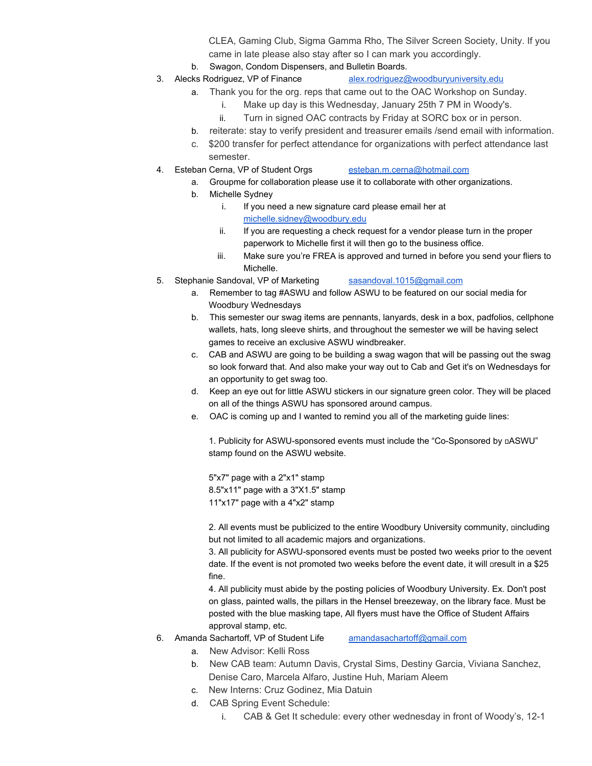CLEA, Gaming Club, Sigma Gamma Rho, The Silver Screen Society, Unity. If you came in late please also stay after so I can mark you accordingly.

- b. Swagon, Condom Dispensers, and Bulletin Boards.
- 3. Alecks Rodriguez, VP of Finance [alex.rodriguez@woodburyuniversity.edu](mailto:alex.rodriguez@woodburyuniversity.edu)
	- a. Thank you for the org. reps that came out to the OAC Workshop on Sunday.
		- i. Make up day is this Wednesday, January 25th 7 PM in Woody's.
		- ii. Turn in signed OAC contracts by Friday at SORC box or in person.
		- b. reiterate: stay to verify president and treasurer emails /send email with information.
		- c. \$200 transfer for perfect attendance for organizations with perfect attendance last semester.
- 4. Esteban Cerna, VP of Student Orgs [esteban.m.cerna@hotmail.com](mailto:esteban.m.cerna@hotmail.com)
	- a. Groupme for collaboration please use it to collaborate with other organizations.
	- b. Michelle Sydney
		- i. If you need a new signature card please email her at [michelle.sidney@woodbury.edu](mailto:michelle.sidney@woodbury.edu)
		- ii. If you are requesting a check request for a vendor please turn in the proper paperwork to Michelle first it will then go to the business office.
		- iii. Make sure you're FREA is approved and turned in before you send your fliers to Michelle.
- 5. Stephanie Sandoval, VP of Marketing [sasandoval.1015@gmail.com](mailto:sasandoval.1015@gmail.com)
	- a. Remember to tag #ASWU and follow ASWU to be featured on our social media for Woodbury Wednesdays
	- b. This semester our swag items are pennants, lanyards, desk in a box, padfolios, cellphone wallets, hats, long sleeve shirts, and throughout the semester we will be having select games to receive an exclusive ASWU windbreaker.
	- c. CAB and ASWU are going to be building a swag wagon that will be passing out the swag so look forward that. And also make your way out to Cab and Get it's on Wednesdays for an opportunity to get swag too.
	- d. Keep an eye out for little ASWU stickers in our signature green color. They will be placed on all of the things ASWU has sponsored around campus.
	- e. OAC is coming up and I wanted to remind you all of the marketing guide lines:

1. Publicity for ASWU-sponsored events must include the "Co-Sponsored by **nASWU**" stamp found on the ASWU website.

5"x7" page with a 2"x1" stamp 8.5"x11" page with a 3"X1.5" stamp 11"x17" page with a 4"x2" stamp

2. All events must be publicized to the entire Woodbury University community, nincluding but not limited to all academic majors and organizations.

3. All publicity for ASWU-sponsored events must be posted two weeks prior to the nevent date. If the event is not promoted two weeks before the event date, it will aresult in a \$25 fine.

4. All publicity must abide by the posting policies of Woodbury University. Ex. Don't post on glass, painted walls, the pillars in the Hensel breezeway, on the library face. Must be posted with the blue masking tape, All flyers must have the Office of Student Affairs approval stamp, etc.

- 6. Amanda Sachartoff, VP of Student Life [amandasachartoff@gmail.com](mailto:amandasachartoff@gmail.com)
	- a. New Advisor: Kelli Ross
	- b. New CAB team: Autumn Davis, Crystal Sims, Destiny Garcia, Viviana Sanchez, Denise Caro, Marcela Alfaro, Justine Huh, Mariam Aleem
	- c. New Interns: Cruz Godinez, Mia Datuin
	- d. CAB Spring Event Schedule:
		- i. CAB & Get It schedule: every other wednesday in front of Woody's, 12-1